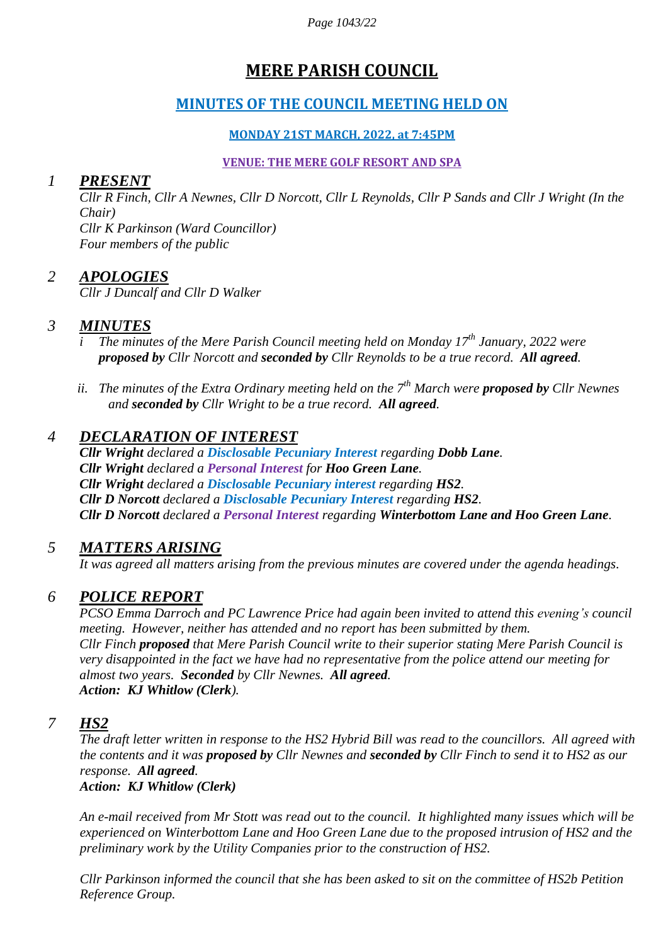*Page 1043/22*

# **MERE PARISH COUNCIL**

## **MINUTES OF THE COUNCIL MEETING HELD ON**

#### **MONDAY 21ST MARCH, 2022, at 7:45PM**

#### **VENUE: THE MERE GOLF RESORT AND SPA**

#### *1 PRESENT*

*Cllr R Finch, Cllr A Newnes, Cllr D Norcott, Cllr L Reynolds, Cllr P Sands and Cllr J Wright (In the Chair) Cllr K Parkinson (Ward Councillor) Four members of the public*

#### *2 APOLOGIES*

*Cllr J Duncalf and Cllr D Walker*

### *3 MINUTES*

- *i The minutes of the Mere Parish Council meeting held on Monday 17th January, 2022 were proposed by Cllr Norcott and seconded by Cllr Reynolds to be a true record. All agreed.*
- *ii. The minutes of the Extra Ordinary meeting held on the 7th March were proposed by Cllr Newnes and seconded by Cllr Wright to be a true record. All agreed.*

### *4 DECLARATION OF INTEREST*

*Cllr Wright declared a Disclosable Pecuniary Interest regarding Dobb Lane. Cllr Wright declared a Personal Interest for Hoo Green Lane. Cllr Wright declared a Disclosable Pecuniary interest regarding HS2. Cllr D Norcott declared a Disclosable Pecuniary Interest regarding HS2. Cllr D Norcott declared a Personal Interest regarding Winterbottom Lane and Hoo Green Lane.* 

### *5 MATTERS ARISING*

*It was agreed all matters arising from the previous minutes are covered under the agenda headings.*

### *6 POLICE REPORT*

*PCSO Emma Darroch and PC Lawrence Price had again been invited to attend this evening's council meeting. However, neither has attended and no report has been submitted by them. Cllr Finch proposed that Mere Parish Council write to their superior stating Mere Parish Council is very disappointed in the fact we have had no representative from the police attend our meeting for almost two years. Seconded by Cllr Newnes. All agreed. Action: KJ Whitlow (Clerk).*

### *7 HS2*

*The draft letter written in response to the HS2 Hybrid Bill was read to the councillors. All agreed with the contents and it was proposed by Cllr Newnes and seconded by Cllr Finch to send it to HS2 as our response. All agreed.* 

*Action: KJ Whitlow (Clerk)*

*An e-mail received from Mr Stott was read out to the council. It highlighted many issues which will be experienced on Winterbottom Lane and Hoo Green Lane due to the proposed intrusion of HS2 and the preliminary work by the Utility Companies prior to the construction of HS2.*

*Cllr Parkinson informed the council that she has been asked to sit on the committee of HS2b Petition Reference Group.*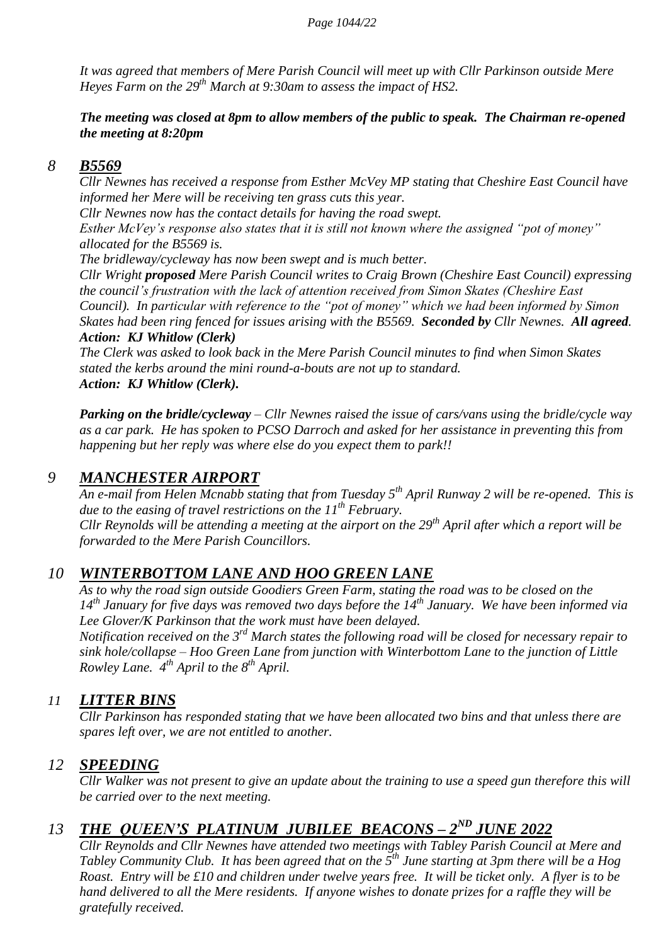*It was agreed that members of Mere Parish Council will meet up with Cllr Parkinson outside Mere Heyes Farm on the 29th March at 9:30am to assess the impact of HS2.*

#### *The meeting was closed at 8pm to allow members of the public to speak. The Chairman re-opened the meeting at 8:20pm*

#### *8 B5569*

*Cllr Newnes has received a response from Esther McVey MP stating that Cheshire East Council have informed her Mere will be receiving ten grass cuts this year.* 

*Cllr Newnes now has the contact details for having the road swept.*

*Esther McVey's response also states that it is still not known where the assigned "pot of money" allocated for the B5569 is.*

*The bridleway/cycleway has now been swept and is much better.*

*Cllr Wright proposed Mere Parish Council writes to Craig Brown (Cheshire East Council) expressing the council's frustration with the lack of attention received from Simon Skates (Cheshire East Council). In particular with reference to the "pot of money" which we had been informed by Simon Skates had been ring fenced for issues arising with the B5569. Seconded by Cllr Newnes. All agreed. Action: KJ Whitlow (Clerk)*

*The Clerk was asked to look back in the Mere Parish Council minutes to find when Simon Skates stated the kerbs around the mini round-a-bouts are not up to standard. Action: KJ Whitlow (Clerk).*

*Parking on the bridle/cycleway – Cllr Newnes raised the issue of cars/vans using the bridle/cycle way as a car park. He has spoken to PCSO Darroch and asked for her assistance in preventing this from happening but her reply was where else do you expect them to park!!* 

### *9 MANCHESTER AIRPORT*

*An e-mail from Helen Mcnabb stating that from Tuesday 5th April Runway 2 will be re-opened. This is due to the easing of travel restrictions on the 11th February. Cllr Reynolds will be attending a meeting at the airport on the 29th April after which a report will be forwarded to the Mere Parish Councillors.*

### *10 WINTERBOTTOM LANE AND HOO GREEN LANE*

*As to why the road sign outside Goodiers Green Farm, stating the road was to be closed on the 14th January for five days was removed two days before the 14th January. We have been informed via Lee Glover/K Parkinson that the work must have been delayed.*

*Notification received on the 3rd March states the following road will be closed for necessary repair to sink hole/collapse – Hoo Green Lane from junction with Winterbottom Lane to the junction of Little Rowley Lane. 4th April to the 8th April.*

### *11 LITTER BINS*

*Cllr Parkinson has responded stating that we have been allocated two bins and that unless there are spares left over, we are not entitled to another.*

### *12 SPEEDING*

*Cllr Walker was not present to give an update about the training to use a speed gun therefore this will be carried over to the next meeting.*

## 13 **THE QUEEN'S PLATINUM JUBILEE BEACONS – 2<sup>ND</sup> JUNE 2022**

*Cllr Reynolds and Cllr Newnes have attended two meetings with Tabley Parish Council at Mere and Tabley Community Club. It has been agreed that on the 5th June starting at 3pm there will be a Hog Roast. Entry will be £10 and children under twelve years free. It will be ticket only. A flyer is to be hand delivered to all the Mere residents. If anyone wishes to donate prizes for a raffle they will be gratefully received.*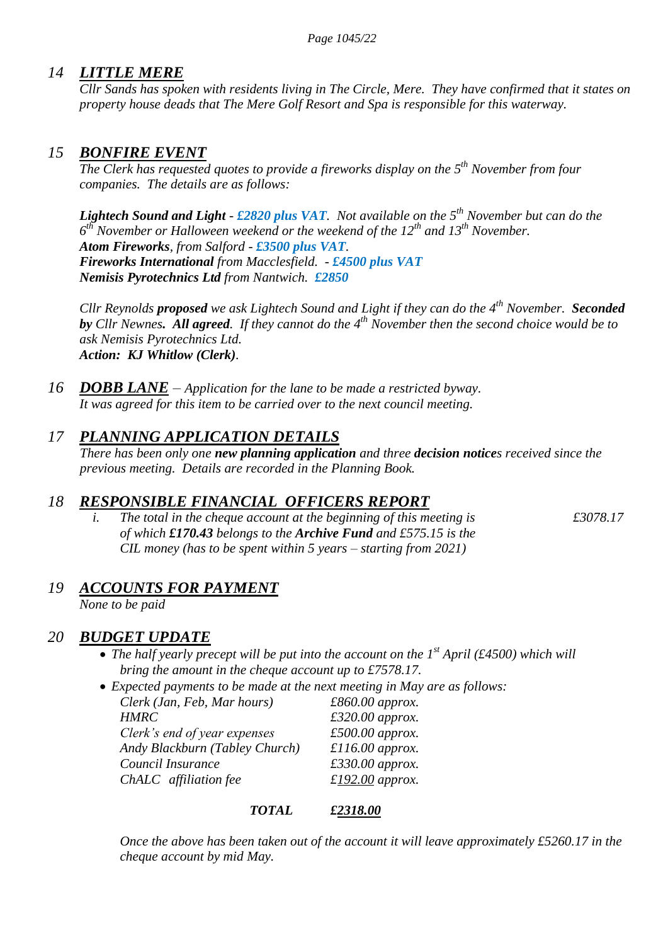## *14 LITTLE MERE*

*Cllr Sands has spoken with residents living in The Circle, Mere. They have confirmed that it states on property house deads that The Mere Golf Resort and Spa is responsible for this waterway.*

#### *15 BONFIRE EVENT*

*The Clerk has requested quotes to provide a fireworks display on the 5th November from four companies. The details are as follows:*

*Lightech Sound and Light - £2820 plus VAT. Not available on the 5th November but can do the 6 th November or Halloween weekend or the weekend of the 12th and 13th November. Atom Fireworks, from Salford - £3500 plus VAT. Fireworks International from Macclesfield. - £4500 plus VAT Nemisis Pyrotechnics Ltd from Nantwich. £2850*

*Cllr Reynolds proposed we ask Lightech Sound and Light if they can do the 4th November. Seconded by Cllr Newnes. All agreed. If they cannot do the 4th November then the second choice would be to ask Nemisis Pyrotechnics Ltd. Action: KJ Whitlow (Clerk).*

*16 DOBB LANE – Application for the lane to be made a restricted byway. It was agreed for this item to be carried over to the next council meeting.*

## *17 PLANNING APPLICATION DETAILS*

*There has been only one new planning application and three decision notices received since the previous meeting. Details are recorded in the Planning Book.*

### *18 RESPONSIBLE FINANCIAL OFFICERS REPORT*

*i. The total in the cheque account at the beginning of this meeting is*  $£3078.17$ *of which £170.43 belongs to the Archive Fund and £575.15 is the CIL money (has to be spent within 5 years – starting from 2021)*

## *19 ACCOUNTS FOR PAYMENT*

*None to be paid*

## *20 BUDGET UPDATE*

• The half yearly precept will be put into the account on the 1<sup>st</sup> April (£4500) which will *bring the amount in the cheque account up to £7578.17.*

*Expected payments to be made at the next meeting in May are as follows:*

| Clerk (Jan, Feb, Mar hours)    | $£860.00$ approx. |
|--------------------------------|-------------------|
| <b>HMRC</b>                    | $£320.00$ approx. |
| Clerk's end of year expenses   | $£500.00$ approx. |
| Andy Blackburn (Tabley Church) | $£116.00$ approx. |
| Council Insurance              | $£330.00$ approx. |
| ChALC affiliation fee          | £192.00 approx.   |

#### *TOTAL £2318.00*

*Once the above has been taken out of the account it will leave approximately £5260.17 in the cheque account by mid May.*